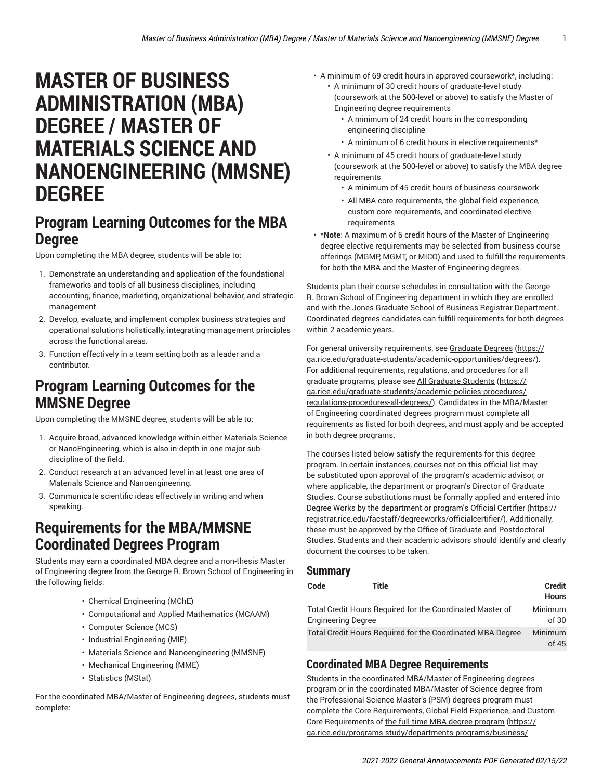# **MASTER OF BUSINESS ADMINISTRATION (MBA) DEGREE / MASTER OF MATERIALS SCIENCE AND NANOENGINEERING (MMSNE) DEGREE**

### **Program Learning Outcomes for the MBA Degree**

Upon completing the MBA degree, students will be able to:

- 1. Demonstrate an understanding and application of the foundational frameworks and tools of all business disciplines, including accounting, finance, marketing, organizational behavior, and strategic management.
- 2. Develop, evaluate, and implement complex business strategies and operational solutions holistically, integrating management principles across the functional areas.
- 3. Function effectively in a team setting both as a leader and a contributor.

## **Program Learning Outcomes for the MMSNE Degree**

Upon completing the MMSNE degree, students will be able to:

- 1. Acquire broad, advanced knowledge within either Materials Science or NanoEngineering, which is also in-depth in one major subdiscipline of the field.
- 2. Conduct research at an advanced level in at least one area of Materials Science and Nanoengineering.
- 3. Communicate scientific ideas effectively in writing and when speaking.

## **Requirements for the MBA/MMSNE Coordinated Degrees Program**

Students may earn a coordinated MBA degree and a non-thesis Master of Engineering degree from the George R. Brown School of Engineering in the following fields:

- Chemical Engineering (MChE)
- Computational and Applied Mathematics (MCAAM)
- Computer Science (MCS)
- Industrial Engineering (MIE)
- Materials Science and Nanoengineering (MMSNE)
- Mechanical Engineering (MME)
- Statistics (MStat)

For the coordinated MBA/Master of Engineering degrees, students must complete:

- A minimum of 69 credit hours in approved coursework\*, including:
	- A minimum of 30 credit hours of graduate-level study (coursework at the 500-level or above) to satisfy the Master of Engineering degree requirements
		- A minimum of 24 credit hours in the corresponding engineering discipline
		- A minimum of 6 credit hours in elective requirements\*
	- A minimum of 45 credit hours of graduate-level study (coursework at the 500-level or above) to satisfy the MBA degree requirements
		- A minimum of 45 credit hours of business coursework
		- All MBA core requirements, the global field experience, custom core requirements, and coordinated elective requirements
- \***Note**: A maximum of 6 credit hours of the Master of Engineering degree elective requirements may be selected from business course offerings (MGMP, MGMT, or MICO) and used to fulfill the requirements for both the MBA and the Master of Engineering degrees.

Students plan their course schedules in consultation with the George R. Brown School of Engineering department in which they are enrolled and with the Jones Graduate School of Business Registrar Department. Coordinated degrees candidates can fulfill requirements for both degrees within 2 academic years.

For general university requirements, see [Graduate](https://ga.rice.edu/graduate-students/academic-opportunities/degrees/) Degrees ([https://](https://ga.rice.edu/graduate-students/academic-opportunities/degrees/) [ga.rice.edu/graduate-students/academic-opportunities/degrees/](https://ga.rice.edu/graduate-students/academic-opportunities/degrees/)). For additional requirements, regulations, and procedures for all graduate programs, please see [All Graduate Students \(https://](https://ga.rice.edu/graduate-students/academic-policies-procedures/regulations-procedures-all-degrees/) [ga.rice.edu/graduate-students/academic-policies-procedures/](https://ga.rice.edu/graduate-students/academic-policies-procedures/regulations-procedures-all-degrees/) [regulations-procedures-all-degrees/](https://ga.rice.edu/graduate-students/academic-policies-procedures/regulations-procedures-all-degrees/)). Candidates in the MBA/Master of Engineering coordinated degrees program must complete all requirements as listed for both degrees, and must apply and be accepted in both degree programs.

The courses listed below satisfy the requirements for this degree program. In certain instances, courses not on this official list may be substituted upon approval of the program's academic advisor, or where applicable, the department or program's Director of Graduate Studies. Course substitutions must be formally applied and entered into Degree Works by the department or program's Official [Certifier \(https://](https://registrar.rice.edu/facstaff/degreeworks/officialcertifier/) [registrar.rice.edu/facstaff/degreeworks/officialcertifier/](https://registrar.rice.edu/facstaff/degreeworks/officialcertifier/)). Additionally, these must be approved by the Office of Graduate and Postdoctoral Studies. Students and their academic advisors should identify and clearly document the courses to be taken.

#### **Summary**

| Code                                                                                   | Title            | <b>Credit</b><br><b>Hours</b> |
|----------------------------------------------------------------------------------------|------------------|-------------------------------|
| Total Credit Hours Required for the Coordinated Master of<br><b>Engineering Degree</b> | Minimum<br>of 30 |                               |
| Total Credit Hours Required for the Coordinated MBA Degree                             |                  | Minimum<br>of 45              |

### **Coordinated MBA Degree Requirements**

Students in the coordinated MBA/Master of Engineering degrees program or in the coordinated MBA/Master of Science degree from the Professional Science Master's (PSM) degrees program must complete the Core Requirements, Global Field Experience, and Custom Core Requirements of the full-time MBA degree [program](https://ga.rice.edu/programs-study/departments-programs/business/business/business-administration-mba-full-time/#requirementstext) [\(https://](https://ga.rice.edu/programs-study/departments-programs/business/business/business-administration-mba-full-time/#requirementstext) [ga.rice.edu/programs-study/departments-programs/business/](https://ga.rice.edu/programs-study/departments-programs/business/business/business-administration-mba-full-time/#requirementstext)